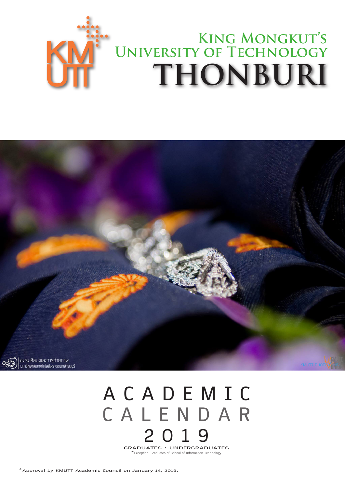



## **A C A D E M I C C A L E N D A R 2 0 1 9**

**GRADUATES : UNDERGRADUATES** \*Exception: Graduates of School of Information Technology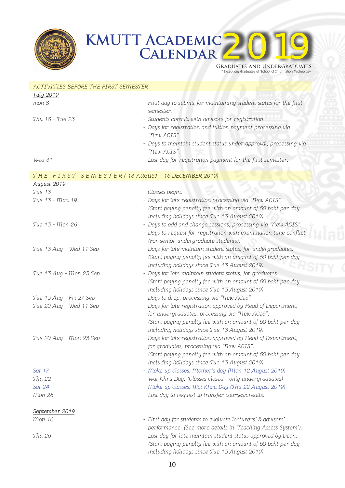

## **KMUTT Academic CALENDAR**



2019

| ACTIVITIES BEFORE THE FIRST SEMESTER              |                                                                                                                |
|---------------------------------------------------|----------------------------------------------------------------------------------------------------------------|
| July 2019                                         |                                                                                                                |
| mon 8                                             | - First day to submit for maintaining student status for the first<br>semester.                                |
| Thu 18 - Tue 23                                   | - Students consult with advisors for registration.                                                             |
|                                                   | - Days for registration and tuition payment processing via                                                     |
|                                                   | "New ACIS".                                                                                                    |
|                                                   | - Days to maintain student status under approval, processing via<br>"New ACIS".                                |
| Wed 31                                            | - Last day for registration payment for the first semester.                                                    |
| THE FIRST SEMESTER (13 AUGUST - 16 DECEMBER 2019) |                                                                                                                |
| August 2019                                       |                                                                                                                |
| Tue 13                                            | - Classes begin.                                                                                               |
| Tue 13 - Mon 19                                   | - Days for late registration processing via "New ACIS".                                                        |
|                                                   | (Start paying penalty fee with an amount of 50 baht per day                                                    |
|                                                   | including holidays since Tue 13 August 2019).                                                                  |
| Tue 13 - Mon 26                                   | - Days to add and change sessions, processing via "New ACIS".                                                  |
|                                                   | - Days to request for registration with examination time conflict.                                             |
|                                                   | (For senior undergraduate students).                                                                           |
| Tue 13 Aug - Wed 11 Sep                           | - Days for late maintain student status, for undergraduates.                                                   |
|                                                   | (Start paying penalty fee with an amount of 50 baht per day                                                    |
|                                                   | including holidays since Tue 13 August 2019)                                                                   |
| Tue 13 Aug - Mon 23 Sep                           | - Days for late maintain student status, for graduates.                                                        |
|                                                   | (Start paying penalty fee with an amount of 50 baht per day<br>including holidays since Tue 13 August 2019)    |
| Tue 13 Aug - Fri 27 Sep                           | - Days to drop, processing via "New ACIS"                                                                      |
|                                                   |                                                                                                                |
| Tue 20 Aug - Wed 11 Sep                           | - Days for late registration approved by Head of Department,<br>for undergraduates, processing via "New ACIS". |
|                                                   | (Start paying penalty fee with an amount of 50 baht per day                                                    |
|                                                   | including holidays since Tue 13 August 2019)                                                                   |
| Tue 20 Aug - Mon 23 Sep                           | - Days for late registration approved by Head of Department,<br>for graduates, processing via "New ACIS".      |
|                                                   | (Start paying penalty fee with an amount of 50 baht per day<br>including holidays since Tue 13 August 2019)    |
| Sat 17                                            | - Make up classes: Mother's day (Mon 12 August 2019)                                                           |
| Thu 22                                            | - Wai Khru Day, (Classes closed - only undergraduates)                                                         |
| Sat 24                                            | - Make up classes: Wai Khru Day (Thu 22 August 2019)                                                           |
| Mon 26                                            | - Last day to request to transfer courses/credits.                                                             |
| September 2019                                    |                                                                                                                |
| mon 16                                            | - First day for students to evaluate lecturers' & advisors'                                                    |
|                                                   | performance. (See more details in 'Teaching Assess System').                                                   |
| Thu 26                                            | - Last day for late maintain student status approved by Dean.                                                  |
|                                                   | (Start paying penalty fee with an amount of 50 baht per day                                                    |
|                                                   | including holidays since Tue 13 August 2019)                                                                   |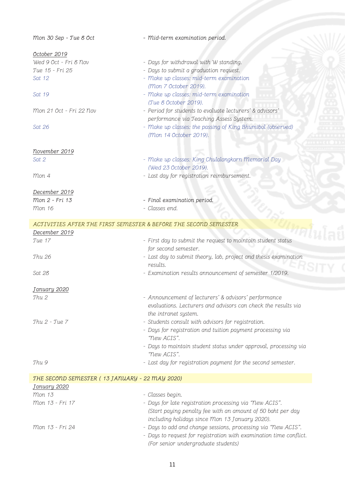| Mon 30 Sep - Tue 8 Oct                                           | - Mid-term examination period.                                     |  |
|------------------------------------------------------------------|--------------------------------------------------------------------|--|
| October 2019                                                     |                                                                    |  |
| Wed 9 Oct - Fri 8 Nov                                            | - Days for withdrawal with W standing.                             |  |
| Tue 15 - Fri 25                                                  | - Days to submit a graduation request.                             |  |
| Sat 12                                                           | - Make up classes: mid-term examination                            |  |
|                                                                  | (Mon 7 October 2019).                                              |  |
| Sat 19                                                           | - Make up classes: mid-term examination                            |  |
|                                                                  | (Tue 8 October 2019).                                              |  |
| Mon 21 Oct - Fri 22 Nov                                          | - Period for students to evaluate lecturers' & advisors'           |  |
|                                                                  | performance via Teaching Assess System.                            |  |
| Sat 26                                                           | - Make up classes: the passing of King Bhumibol (observed)         |  |
|                                                                  | (Mon 14 October 2019).                                             |  |
|                                                                  |                                                                    |  |
| november 2019                                                    |                                                                    |  |
| Sat 2                                                            | - Make up classes: King Chulalongkorn Memorial Day                 |  |
|                                                                  | (Wed 23 October 2019).                                             |  |
| Mon 4                                                            | - Last day for registration reimbursement.                         |  |
|                                                                  |                                                                    |  |
| December 2019                                                    |                                                                    |  |
| Mon 2 - Fri 13                                                   | - Final examination period.                                        |  |
| <i>mon</i> 16                                                    | - Classes end.                                                     |  |
|                                                                  |                                                                    |  |
| ACTIVITIES AFTER THE FIRST SEMESTER & BEFORE THE SECOND SEMESTER |                                                                    |  |
| December 2019                                                    |                                                                    |  |
| Tue 17                                                           | - First day to submit the request to maintain student status       |  |
|                                                                  | for second semester.                                               |  |
| Thu 26                                                           | - Last day to submit theory, lab, project and thesis examination   |  |
|                                                                  | results.                                                           |  |
| Sat 28                                                           | - Examination results announcement of semester 1/2019.             |  |
|                                                                  |                                                                    |  |
| January 2020                                                     |                                                                    |  |
| Thu <sub>2</sub>                                                 | - Announcement of lecturers' & advisors' performance               |  |
|                                                                  | evaluations. Lecturers and advisors can check the results via      |  |
|                                                                  | the intranet system.                                               |  |
| $Thu 2 - Tue 7$                                                  | - Students consult with advisors for registration.                 |  |
|                                                                  | - Days for registration and tuition payment processing via         |  |
|                                                                  | "New ACIS".                                                        |  |
|                                                                  | - Days to maintain student status under approval, processing via   |  |
|                                                                  | "New ACIS".                                                        |  |
| Thu 9                                                            | - Last day for registration payment for the second semester.       |  |
|                                                                  |                                                                    |  |
| THE SECOND SEMESTER (13 JANUARY - 22 MAY 2020)                   |                                                                    |  |
| January 2020                                                     |                                                                    |  |
| <i>mon</i> 13                                                    | - Classes begin.                                                   |  |
| Mon 13 - Fri 17                                                  | - Days for late registration processing via "New ACIS".            |  |
|                                                                  |                                                                    |  |
|                                                                  | (Start paying penalty fee with an amount of 50 baht per day        |  |
|                                                                  | including holidays since Mon 13 January 2020).                     |  |
| Mon 13 - Fri 24                                                  | - Days to add and change sessions, processing via "New ACIS".      |  |
|                                                                  | - Days to request for registration with examination time conflict. |  |
|                                                                  | (For senior undergraduate students)                                |  |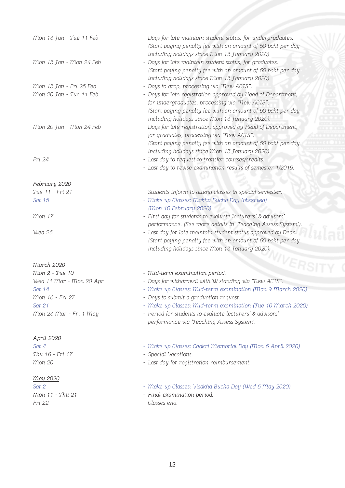| Mon 13 Jan - Tue 11 Feb | - Days for late maintain student status, for undergraduates.<br>(Start paying penalty fee with an amount of 50 baht per day<br>including holidays since Mon 13 January 2020)                                                    |
|-------------------------|---------------------------------------------------------------------------------------------------------------------------------------------------------------------------------------------------------------------------------|
| Mon 13 Jan - Mon 24 Feb | - Days for late maintain student status, for graduates.<br>(Start paying penalty fee with an amount of 50 baht per day<br>including holidays since Mon 13 January 2020)                                                         |
| Mon 13 Jan - Fri 28 Feb | - Days to drop, processing via "New ACIS".                                                                                                                                                                                      |
| Mon 20 Jan - Tue 11 Feb | - Days for late registration approved by Head of Department,<br>for undergraduates, processing via "New ACIS".<br>(Start paying penalty fee with an amount of 50 baht per day<br>including holidays since Mon 13 January 2020). |
| Mon 20 Jan - Mon 24 Feb | - Days for late registration approved by Head of Department,<br>for graduates, processing via "New ACIS".<br>(Start paying penalty fee with an amount of 50 baht per day<br>including holidays since Mon 13 January 2020).      |
| Fri 24                  | - Last day to request to transfer courses/credits.                                                                                                                                                                              |
|                         | - Last day to revise examination results of semester 1/2019.                                                                                                                                                                    |
| February 2020           |                                                                                                                                                                                                                                 |
| Tue 11 - Fri 21         | - Students inform to attend classes in special semester.                                                                                                                                                                        |
| Sat 15                  | - Make up Classes: Makha Bucha Day (observed)<br>(Mon 10 February 2020)                                                                                                                                                         |
| <i>mon</i> 17           | - First day for students to evaluate lecturers' & advisors'<br>performance. (See more details in 'Teaching Assess System').                                                                                                     |
| Wed 26                  | - Last day for late maintain student status approved by Dean.<br>(Start paying penalty fee with an amount of 50 baht per day<br>including holidays since Mon 13 January 2020).                                                  |
| <b>March 2020</b>       | <b>NIVERS</b>                                                                                                                                                                                                                   |
| Mon 2 - Tue 10          | - Mid-term examination period.                                                                                                                                                                                                  |
| Wed 11 Mar - Mon 20 Apr | - Days for withdrawal with W standing via "New ACIS".                                                                                                                                                                           |
| Sat 14                  | - Make up Classes: Mid-term examination (Mon 9 March 2020)                                                                                                                                                                      |
| Mon 16 - Fri 27         | - Days to submit a graduation request.                                                                                                                                                                                          |
| Sat 21                  | - Make up Classes: Mid-term examination (Tue 10 March 2020)                                                                                                                                                                     |
| Mon 23 Mar - Fri 1 May  | - Period for students to evaluate lecturers' & advisors'<br>performance via 'Teaching Assess System'.                                                                                                                           |
| April 2020              |                                                                                                                                                                                                                                 |
| Sat 4                   | - Make up Classes: Chakri Memorial Day (Mon 6 April 2020)                                                                                                                                                                       |
| Thu 16 - Fri 17         | - Special Vacations.                                                                                                                                                                                                            |
| <i>mon 20</i>           | - Last day for registration reimbursement.                                                                                                                                                                                      |
| may 2020                |                                                                                                                                                                                                                                 |
| Sat 2                   | - Make up Classes: Visakha Bucha Day (Wed 6 May 2020)                                                                                                                                                                           |
| Mon 11 - Thu 21         | - Final examination period.                                                                                                                                                                                                     |
| Fri 22                  | - Classes end.                                                                                                                                                                                                                  |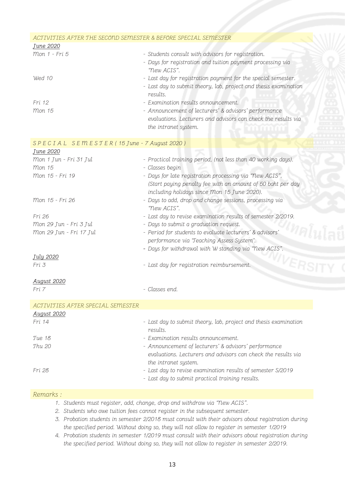| ACTIVITIES AFTER THE SECOND SEMESTER & BEFORE SPECIAL SEMESTER |                                                                              |  |  |  |
|----------------------------------------------------------------|------------------------------------------------------------------------------|--|--|--|
| <u>June 2020</u>                                               |                                                                              |  |  |  |
| Mon 1 - Fri 5                                                  | - Students consult with advisors for registration.                           |  |  |  |
|                                                                | - Days for registration and tuition payment processing via                   |  |  |  |
|                                                                | "New ACIS".                                                                  |  |  |  |
| Wed 10                                                         | - Last day for registration payment for the special semester.                |  |  |  |
|                                                                | - Last day to submit theory, lab, project and thesis examination             |  |  |  |
|                                                                | results.                                                                     |  |  |  |
| Fri 12                                                         | - Examination results announcement.                                          |  |  |  |
| <i>mon</i> 15                                                  | - Announcement of lecturers' & advisors' performance                         |  |  |  |
|                                                                | evaluations. Lecturers and advisors can check the results via                |  |  |  |
|                                                                | the intranet system.                                                         |  |  |  |
|                                                                |                                                                              |  |  |  |
| SPECIAL SEMESTER (15 June - 7 August 2020)                     |                                                                              |  |  |  |
| June 2020                                                      |                                                                              |  |  |  |
| Mon 1 Jun - Fri 31 Jul                                         | - Practical training period, (not less than 40 working days).                |  |  |  |
| <i>mon</i> 15                                                  | - Classes begin                                                              |  |  |  |
| Mon 15 - Fri 19                                                | - Days for late registration processing via "New ACIS".                      |  |  |  |
|                                                                | (Start paying penalty fee with an amount of 50 baht per day                  |  |  |  |
| Mon 15 - Fri 26                                                | including holidays since Mon 15 June 2020).                                  |  |  |  |
|                                                                | - Days to add, drop and change sessions, processing via<br>"New ACIS".       |  |  |  |
| Fri 26                                                         | - Last day to revise examination results of semester 2/2019.                 |  |  |  |
| Mon 29 Jun - Fri 3 Jul                                         | - Days to submit a graduation request.                                       |  |  |  |
| Mon 29 Jun - Fri 17 Jul                                        | - Period for students to evaluate lecturers' & advisors'                     |  |  |  |
|                                                                | performance via 'Teaching Assess System'.                                    |  |  |  |
|                                                                | - Days for withdrawal with W standing via "New ACIS".                        |  |  |  |
| July 2020                                                      |                                                                              |  |  |  |
| Fri 3                                                          | <b>IVERS</b><br>- Last day for registration reimbursement.                   |  |  |  |
| <b>August 2020</b>                                             |                                                                              |  |  |  |
| Fri 7                                                          | - Classes end.                                                               |  |  |  |
|                                                                |                                                                              |  |  |  |
| ACTIVITIES AFTER SPECIAL SEMESTER                              |                                                                              |  |  |  |
| <b>August 2020</b>                                             |                                                                              |  |  |  |
| Fri 14                                                         | - Last day to submit theory, lab, project and thesis examination<br>results. |  |  |  |
| Tue 18                                                         | - Examination results announcement.                                          |  |  |  |
| <b>Thu 20</b>                                                  | - Announcement of lecturers' & advisors' performance                         |  |  |  |
|                                                                | evaluations. Lecturers and advisors can check the results via                |  |  |  |
|                                                                | the intranet system.                                                         |  |  |  |
| Fri 28                                                         | - Last day to revise examination results of semester S/2019                  |  |  |  |
|                                                                | - Last day to submit practical training results.                             |  |  |  |
|                                                                |                                                                              |  |  |  |

## Remarks :

- 1. Students must register, add, change, drop and withdraw via "New ACIS".
- 2. Students who owe tuition fees cannot register in the subsequent semester.
- 3. Probation students in semester 2/2018 must consult with their advisors about registration during the specified period. Without doing so, they will not allow to register in semester 1/2019
- 4. Probation students in semester 1/2019 must consult with their advisors about registration during the specified period. Without doing so, they will not allow to register in semester 2/2019.